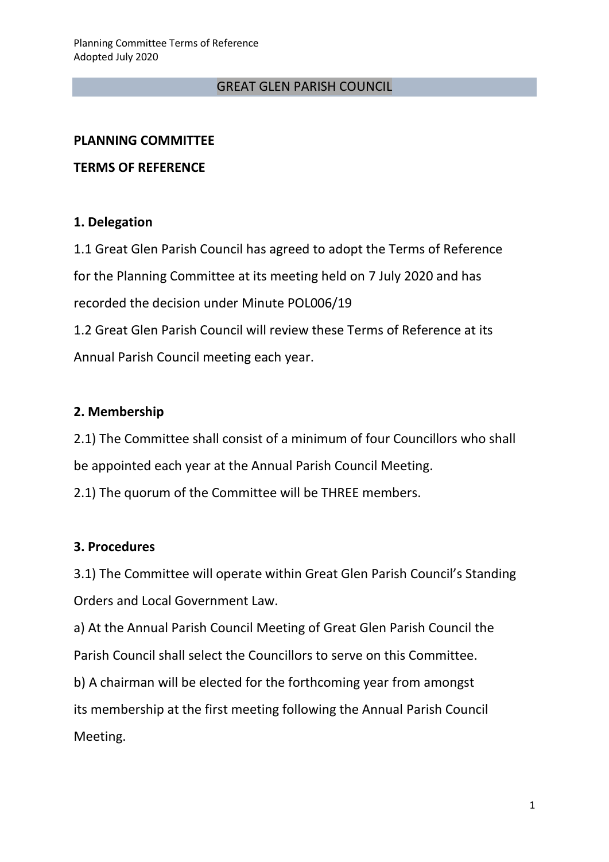#### GREAT GLEN PARISH COUNCIL

#### **PLANNING COMMITTEE**

#### **TERMS OF REFERENCE**

### **1. Delegation**

1.1 Great Glen Parish Council has agreed to adopt the Terms of Reference for the Planning Committee at its meeting held on 7 July 2020 and has recorded the decision under Minute POL006/19 1.2 Great Glen Parish Council will review these Terms of Reference at its Annual Parish Council meeting each year.

### **2. Membership**

2.1) The Committee shall consist of a minimum of four Councillors who shall be appointed each year at the Annual Parish Council Meeting.

2.1) The quorum of the Committee will be THREE members.

### **3. Procedures**

3.1) The Committee will operate within Great Glen Parish Council's Standing Orders and Local Government Law.

a) At the Annual Parish Council Meeting of Great Glen Parish Council the Parish Council shall select the Councillors to serve on this Committee.

b) A chairman will be elected for the forthcoming year from amongst its membership at the first meeting following the Annual Parish Council Meeting.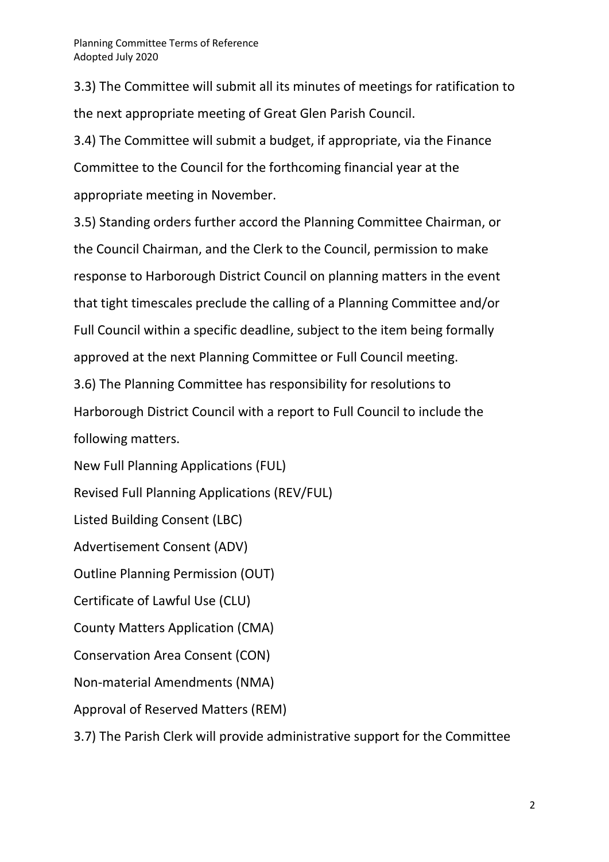3.3) The Committee will submit all its minutes of meetings for ratification to the next appropriate meeting of Great Glen Parish Council.

3.4) The Committee will submit a budget, if appropriate, via the Finance Committee to the Council for the forthcoming financial year at the appropriate meeting in November.

3.5) Standing orders further accord the Planning Committee Chairman, or the Council Chairman, and the Clerk to the Council, permission to make response to Harborough District Council on planning matters in the event that tight timescales preclude the calling of a Planning Committee and/or Full Council within a specific deadline, subject to the item being formally approved at the next Planning Committee or Full Council meeting.

3.6) The Planning Committee has responsibility for resolutions to Harborough District Council with a report to Full Council to include the following matters.

New Full Planning Applications (FUL)

Revised Full Planning Applications (REV/FUL)

Listed Building Consent (LBC)

Advertisement Consent (ADV)

Outline Planning Permission (OUT)

Certificate of Lawful Use (CLU)

County Matters Application (CMA)

Conservation Area Consent (CON)

Non-material Amendments (NMA)

Approval of Reserved Matters (REM)

3.7) The Parish Clerk will provide administrative support for the Committee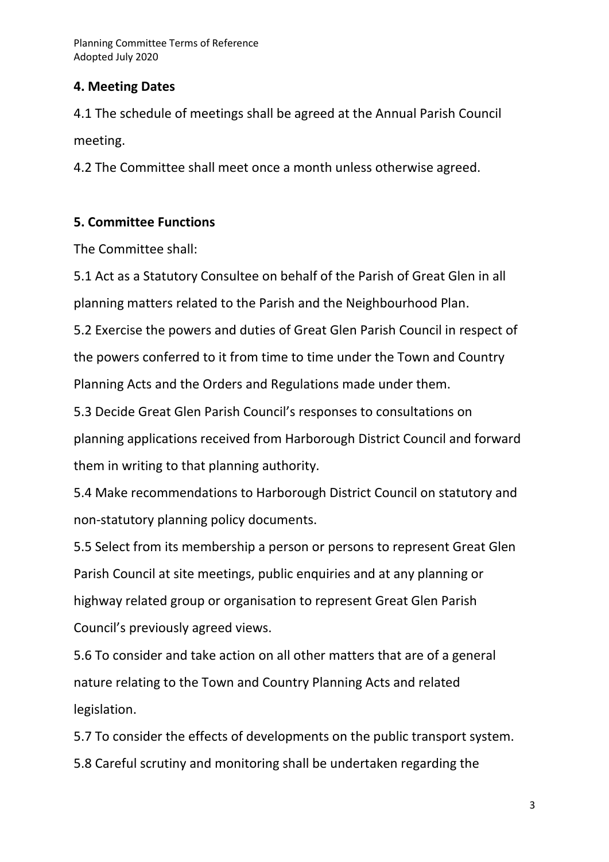## **4. Meeting Dates**

4.1 The schedule of meetings shall be agreed at the Annual Parish Council meeting.

4.2 The Committee shall meet once a month unless otherwise agreed.

# **5. Committee Functions**

The Committee shall:

5.1 Act as a Statutory Consultee on behalf of the Parish of Great Glen in all planning matters related to the Parish and the Neighbourhood Plan.

5.2 Exercise the powers and duties of Great Glen Parish Council in respect of the powers conferred to it from time to time under the Town and Country Planning Acts and the Orders and Regulations made under them.

5.3 Decide Great Glen Parish Council's responses to consultations on planning applications received from Harborough District Council and forward them in writing to that planning authority.

5.4 Make recommendations to Harborough District Council on statutory and non-statutory planning policy documents.

5.5 Select from its membership a person or persons to represent Great Glen Parish Council at site meetings, public enquiries and at any planning or highway related group or organisation to represent Great Glen Parish Council's previously agreed views.

5.6 To consider and take action on all other matters that are of a general nature relating to the Town and Country Planning Acts and related legislation.

5.7 To consider the effects of developments on the public transport system. 5.8 Careful scrutiny and monitoring shall be undertaken regarding the